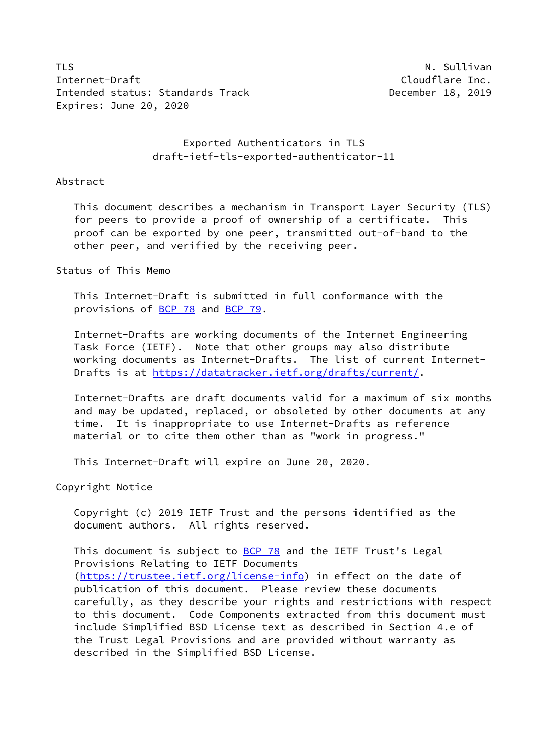TLS N. Sullivan N. Sullivan N. Sullivan N. Sullivan N. Sullivan N. Sullivan N. Sullivan N. Sullivan N. Sullivan Internet-Draft Cloudflare Inc. Intended status: Standards Track December 18, 2019 Expires: June 20, 2020

 Exported Authenticators in TLS draft-ietf-tls-exported-authenticator-11

#### Abstract

 This document describes a mechanism in Transport Layer Security (TLS) for peers to provide a proof of ownership of a certificate. This proof can be exported by one peer, transmitted out-of-band to the other peer, and verified by the receiving peer.

#### Status of This Memo

 This Internet-Draft is submitted in full conformance with the provisions of [BCP 78](https://datatracker.ietf.org/doc/pdf/bcp78) and [BCP 79](https://datatracker.ietf.org/doc/pdf/bcp79).

 Internet-Drafts are working documents of the Internet Engineering Task Force (IETF). Note that other groups may also distribute working documents as Internet-Drafts. The list of current Internet Drafts is at<https://datatracker.ietf.org/drafts/current/>.

 Internet-Drafts are draft documents valid for a maximum of six months and may be updated, replaced, or obsoleted by other documents at any time. It is inappropriate to use Internet-Drafts as reference material or to cite them other than as "work in progress."

This Internet-Draft will expire on June 20, 2020.

Copyright Notice

 Copyright (c) 2019 IETF Trust and the persons identified as the document authors. All rights reserved.

This document is subject to **[BCP 78](https://datatracker.ietf.org/doc/pdf/bcp78)** and the IETF Trust's Legal Provisions Relating to IETF Documents [\(https://trustee.ietf.org/license-info](https://trustee.ietf.org/license-info)) in effect on the date of publication of this document. Please review these documents carefully, as they describe your rights and restrictions with respect to this document. Code Components extracted from this document must include Simplified BSD License text as described in Section 4.e of the Trust Legal Provisions and are provided without warranty as described in the Simplified BSD License.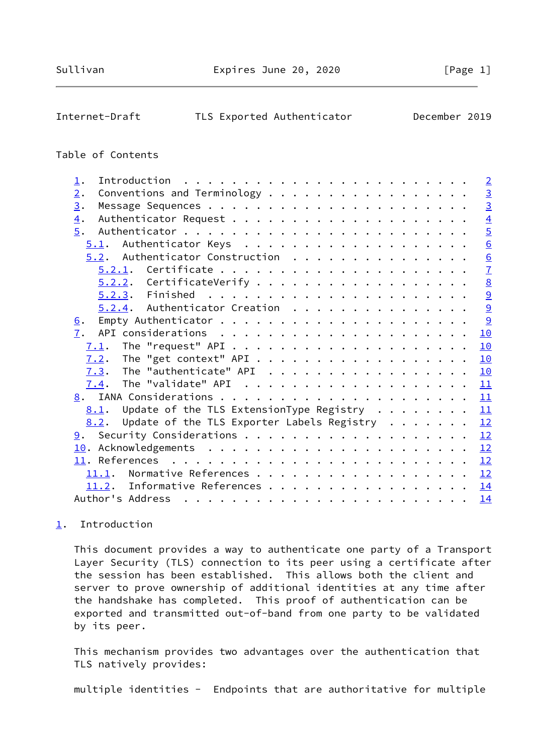## <span id="page-1-1"></span>Internet-Draft TLS Exported Authenticator December 2019

#### Table of Contents

|                                                                    | $\overline{2}$  |
|--------------------------------------------------------------------|-----------------|
| Conventions and Terminology                                        | $\overline{3}$  |
|                                                                    | $\overline{3}$  |
|                                                                    | $\overline{4}$  |
|                                                                    | $\overline{5}$  |
|                                                                    | $\underline{6}$ |
| $5.2$ . Authenticator Construction                                 | $\underline{6}$ |
|                                                                    | $\overline{1}$  |
| $5.2.2.$ CertificateVerify                                         | $\underline{8}$ |
|                                                                    | 9               |
| $5.2.4$ . Authenticator Creation                                   | $\overline{9}$  |
|                                                                    | 9               |
|                                                                    | 10              |
| 7.1.                                                               | 10              |
|                                                                    | 10              |
|                                                                    | <u>10</u>       |
|                                                                    | 11              |
|                                                                    | 11              |
| Update of the TLS ExtensionType Registry $\dots \dots$<br>8.1.     | 11              |
| Update of the TLS Exporter Labels Registry $\ldots \ldots$<br>8.2. | 12              |
|                                                                    | 12              |
|                                                                    | 12              |
|                                                                    | 12              |
| Normative References<br>11.1.                                      | 12              |
| Informative References<br>11.2.                                    | <u>14</u>       |
|                                                                    | 14              |
|                                                                    |                 |

### <span id="page-1-0"></span>[1](#page-1-0). Introduction

 This document provides a way to authenticate one party of a Transport Layer Security (TLS) connection to its peer using a certificate after the session has been established. This allows both the client and server to prove ownership of additional identities at any time after the handshake has completed. This proof of authentication can be exported and transmitted out-of-band from one party to be validated by its peer.

 This mechanism provides two advantages over the authentication that TLS natively provides:

multiple identities - Endpoints that are authoritative for multiple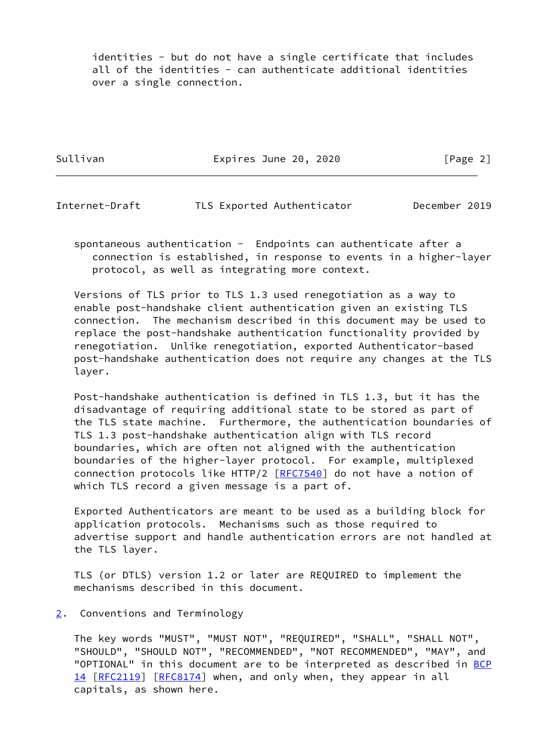identities - but do not have a single certificate that includes all of the identities - can authenticate additional identities over a single connection.

Sullivan **Expires June 20, 2020** [Page 2]

<span id="page-2-1"></span>Internet-Draft TLS Exported Authenticator December 2019

 spontaneous authentication - Endpoints can authenticate after a connection is established, in response to events in a higher-layer protocol, as well as integrating more context.

 Versions of TLS prior to TLS 1.3 used renegotiation as a way to enable post-handshake client authentication given an existing TLS connection. The mechanism described in this document may be used to replace the post-handshake authentication functionality provided by renegotiation. Unlike renegotiation, exported Authenticator-based post-handshake authentication does not require any changes at the TLS layer.

 Post-handshake authentication is defined in TLS 1.3, but it has the disadvantage of requiring additional state to be stored as part of the TLS state machine. Furthermore, the authentication boundaries of TLS 1.3 post-handshake authentication align with TLS record boundaries, which are often not aligned with the authentication boundaries of the higher-layer protocol. For example, multiplexed connection protocols like HTTP/2 [\[RFC7540](https://datatracker.ietf.org/doc/pdf/rfc7540)] do not have a notion of which TLS record a given message is a part of.

 Exported Authenticators are meant to be used as a building block for application protocols. Mechanisms such as those required to advertise support and handle authentication errors are not handled at the TLS layer.

 TLS (or DTLS) version 1.2 or later are REQUIRED to implement the mechanisms described in this document.

#### <span id="page-2-0"></span>[2](#page-2-0). Conventions and Terminology

 The key words "MUST", "MUST NOT", "REQUIRED", "SHALL", "SHALL NOT", "SHOULD", "SHOULD NOT", "RECOMMENDED", "NOT RECOMMENDED", "MAY", and "OPTIONAL" in this document are to be interpreted as described in [BCP](https://datatracker.ietf.org/doc/pdf/bcp14) [14](https://datatracker.ietf.org/doc/pdf/bcp14) [[RFC2119\]](https://datatracker.ietf.org/doc/pdf/rfc2119) [\[RFC8174](https://datatracker.ietf.org/doc/pdf/rfc8174)] when, and only when, they appear in all capitals, as shown here.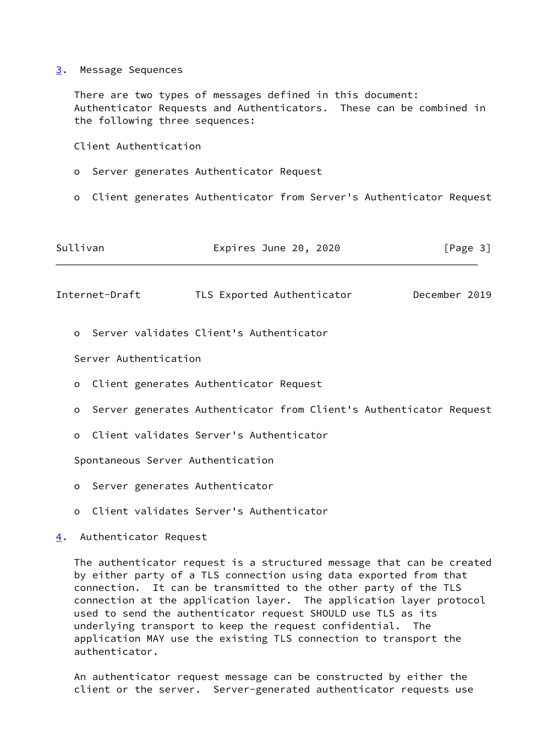<span id="page-3-0"></span>[3](#page-3-0). Message Sequences

 There are two types of messages defined in this document: Authenticator Requests and Authenticators. These can be combined in the following three sequences:

Client Authentication

- o Server generates Authenticator Request
- o Client generates Authenticator from Server's Authenticator Request

| Sullivan | Expires June 20, 2020 | [Page 3] |
|----------|-----------------------|----------|
|----------|-----------------------|----------|

<span id="page-3-2"></span>Internet-Draft TLS Exported Authenticator December 2019

o Server validates Client's Authenticator

Server Authentication

- o Client generates Authenticator Request
- o Server generates Authenticator from Client's Authenticator Request
- o Client validates Server's Authenticator

Spontaneous Server Authentication

- o Server generates Authenticator
- o Client validates Server's Authenticator
- <span id="page-3-1"></span>[4](#page-3-1). Authenticator Request

 The authenticator request is a structured message that can be created by either party of a TLS connection using data exported from that connection. It can be transmitted to the other party of the TLS connection at the application layer. The application layer protocol used to send the authenticator request SHOULD use TLS as its underlying transport to keep the request confidential. The application MAY use the existing TLS connection to transport the authenticator.

 An authenticator request message can be constructed by either the client or the server. Server-generated authenticator requests use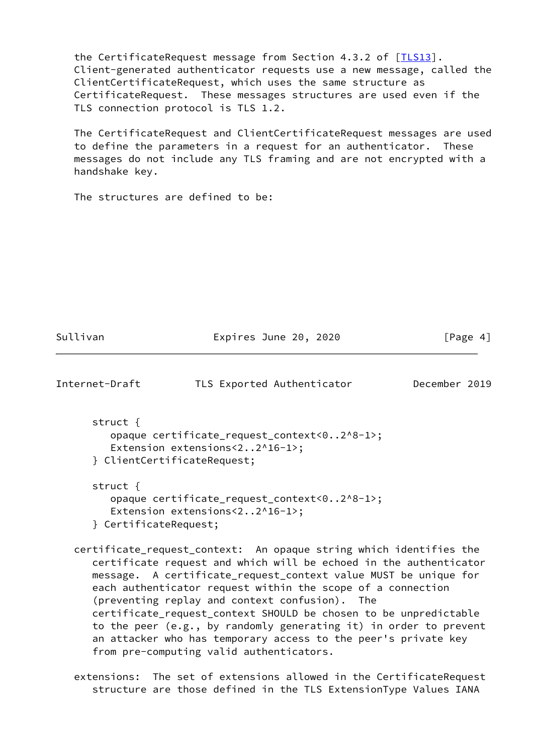the CertificateRequest message from Section 4.3.2 of [ILS13]. Client-generated authenticator requests use a new message, called the ClientCertificateRequest, which uses the same structure as CertificateRequest. These messages structures are used even if the TLS connection protocol is TLS 1.2.

 The CertificateRequest and ClientCertificateRequest messages are used to define the parameters in a request for an authenticator. These messages do not include any TLS framing and are not encrypted with a handshake key.

The structures are defined to be:

Sullivan **Expires June 20, 2020** [Page 4]

<span id="page-4-0"></span>

| Internet-Draft | TLS Exported Authenticator | December 2019 |  |
|----------------|----------------------------|---------------|--|
|                |                            |               |  |

 struct { opaque certificate\_request\_context<0..2^8-1>; Extension extensions<2..2^16-1>; } ClientCertificateRequest;

 struct { opaque certificate\_request\_context<0..2^8-1>; Extension extensions<2..2^16-1>; } CertificateRequest;

 certificate\_request\_context: An opaque string which identifies the certificate request and which will be echoed in the authenticator message. A certificate\_request\_context value MUST be unique for each authenticator request within the scope of a connection (preventing replay and context confusion). The certificate\_request\_context SHOULD be chosen to be unpredictable to the peer (e.g., by randomly generating it) in order to prevent an attacker who has temporary access to the peer's private key from pre-computing valid authenticators.

 extensions: The set of extensions allowed in the CertificateRequest structure are those defined in the TLS ExtensionType Values IANA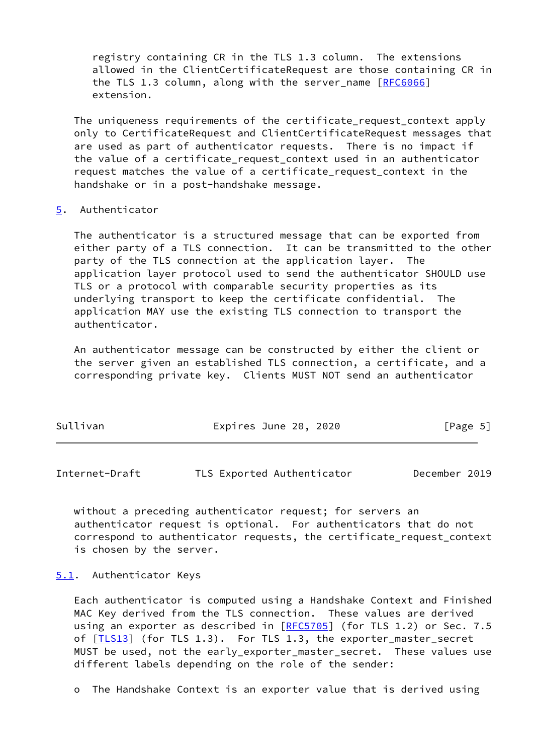registry containing CR in the TLS 1.3 column. The extensions allowed in the ClientCertificateRequest are those containing CR in the TLS 1.3 column, along with the server name [[RFC6066](https://datatracker.ietf.org/doc/pdf/rfc6066)] extension.

 The uniqueness requirements of the certificate\_request\_context apply only to CertificateRequest and ClientCertificateRequest messages that are used as part of authenticator requests. There is no impact if the value of a certificate\_request\_context used in an authenticator request matches the value of a certificate request context in the handshake or in a post-handshake message.

#### <span id="page-5-0"></span>[5](#page-5-0). Authenticator

 The authenticator is a structured message that can be exported from either party of a TLS connection. It can be transmitted to the other party of the TLS connection at the application layer. The application layer protocol used to send the authenticator SHOULD use TLS or a protocol with comparable security properties as its underlying transport to keep the certificate confidential. The application MAY use the existing TLS connection to transport the authenticator.

 An authenticator message can be constructed by either the client or the server given an established TLS connection, a certificate, and a corresponding private key. Clients MUST NOT send an authenticator

| Sullivan | Expires June 20, 2020 | [Page 5] |
|----------|-----------------------|----------|
|          |                       |          |

<span id="page-5-2"></span>Internet-Draft TLS Exported Authenticator December 2019

 without a preceding authenticator request; for servers an authenticator request is optional. For authenticators that do not correspond to authenticator requests, the certificate\_request\_context is chosen by the server.

<span id="page-5-1"></span>[5.1](#page-5-1). Authenticator Keys

 Each authenticator is computed using a Handshake Context and Finished MAC Key derived from the TLS connection. These values are derived using an exporter as described in [[RFC5705](https://datatracker.ietf.org/doc/pdf/rfc5705)] (for TLS 1.2) or Sec. 7.5 of [*ILS13*] (for TLS 1.3). For TLS 1.3, the exporter\_master\_secret MUST be used, not the early\_exporter\_master\_secret. These values use different labels depending on the role of the sender:

o The Handshake Context is an exporter value that is derived using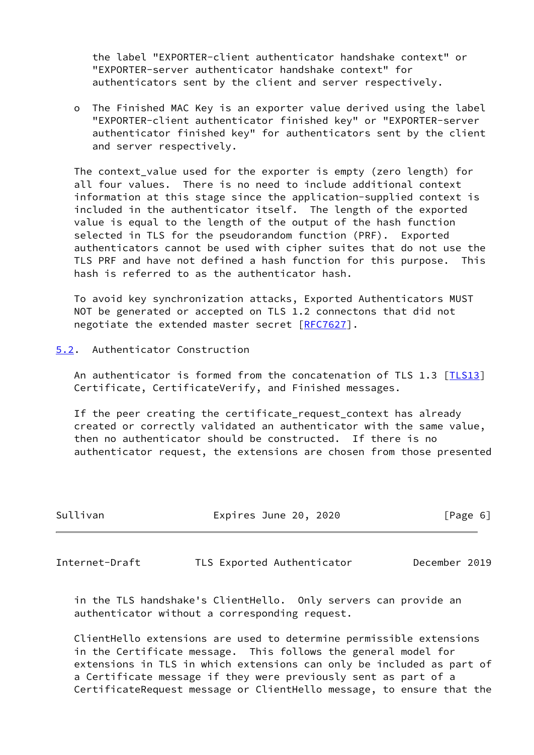the label "EXPORTER-client authenticator handshake context" or "EXPORTER-server authenticator handshake context" for authenticators sent by the client and server respectively.

 o The Finished MAC Key is an exporter value derived using the label "EXPORTER-client authenticator finished key" or "EXPORTER-server authenticator finished key" for authenticators sent by the client and server respectively.

 The context\_value used for the exporter is empty (zero length) for all four values. There is no need to include additional context information at this stage since the application-supplied context is included in the authenticator itself. The length of the exported value is equal to the length of the output of the hash function selected in TLS for the pseudorandom function (PRF). Exported authenticators cannot be used with cipher suites that do not use the TLS PRF and have not defined a hash function for this purpose. This hash is referred to as the authenticator hash.

 To avoid key synchronization attacks, Exported Authenticators MUST NOT be generated or accepted on TLS 1.2 connectons that did not negotiate the extended master secret [\[RFC7627](https://datatracker.ietf.org/doc/pdf/rfc7627)].

<span id="page-6-0"></span>[5.2](#page-6-0). Authenticator Construction

 An authenticator is formed from the concatenation of TLS 1.3 [\[TLS13\]](#page-14-2) Certificate, CertificateVerify, and Finished messages.

 If the peer creating the certificate\_request\_context has already created or correctly validated an authenticator with the same value, then no authenticator should be constructed. If there is no authenticator request, the extensions are chosen from those presented

| Sullivan | Expires June 20, 2020 | [Page 6] |
|----------|-----------------------|----------|
|          |                       |          |

<span id="page-6-1"></span>Internet-Draft TLS Exported Authenticator December 2019

 in the TLS handshake's ClientHello. Only servers can provide an authenticator without a corresponding request.

 ClientHello extensions are used to determine permissible extensions in the Certificate message. This follows the general model for extensions in TLS in which extensions can only be included as part of a Certificate message if they were previously sent as part of a CertificateRequest message or ClientHello message, to ensure that the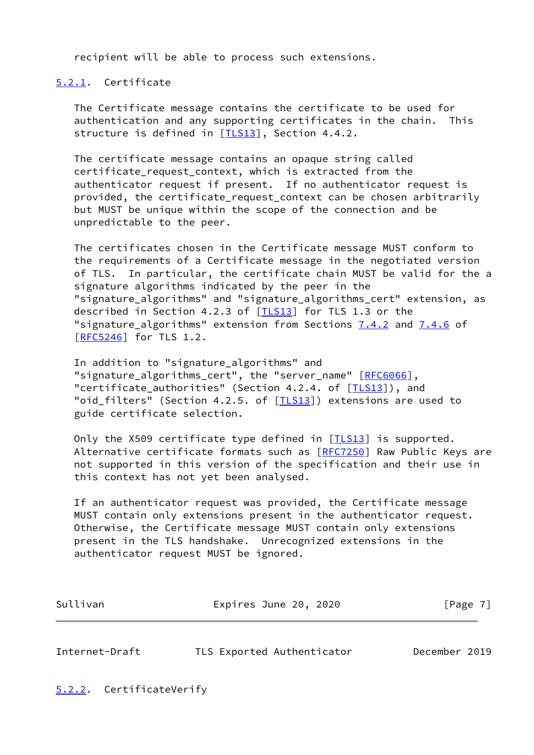recipient will be able to process such extensions.

#### <span id="page-7-0"></span>[5.2.1](#page-7-0). Certificate

 The Certificate message contains the certificate to be used for authentication and any supporting certificates in the chain. This structure is defined in [\[TLS13](#page-14-2)], Section 4.4.2.

 The certificate message contains an opaque string called certificate\_request\_context, which is extracted from the authenticator request if present. If no authenticator request is provided, the certificate\_request\_context can be chosen arbitrarily but MUST be unique within the scope of the connection and be unpredictable to the peer.

 The certificates chosen in the Certificate message MUST conform to the requirements of a Certificate message in the negotiated version of TLS. In particular, the certificate chain MUST be valid for the a signature algorithms indicated by the peer in the "signature algorithms" and "signature algorithms cert" extension, as described in Section 4.2.3 of [ILS13] for TLS 1.3 or the "signature\_algorithms" extension from Sections 7.4.2 and 7.4.6 of [\[RFC5246](https://datatracker.ietf.org/doc/pdf/rfc5246)] for TLS 1.2.

 In addition to "signature\_algorithms" and "signature\_algorithms\_cert", the "server\_name" [\[RFC6066](https://datatracker.ietf.org/doc/pdf/rfc6066)], "certificate\_authorities" (Section 4.2.4. of [\[TLS13\]](#page-14-2)), and "oid\_filters" (Section 4.2.5. of [*ILS13*]) extensions are used to guide certificate selection.

Only the X509 certificate type defined in [[TLS13\]](#page-14-2) is supported. Alternative certificate formats such as [\[RFC7250](https://datatracker.ietf.org/doc/pdf/rfc7250)] Raw Public Keys are not supported in this version of the specification and their use in this context has not yet been analysed.

 If an authenticator request was provided, the Certificate message MUST contain only extensions present in the authenticator request. Otherwise, the Certificate message MUST contain only extensions present in the TLS handshake. Unrecognized extensions in the authenticator request MUST be ignored.

| Sullivan | Expires June 20, 2020 | [Page 7] |
|----------|-----------------------|----------|
|          |                       |          |

<span id="page-7-2"></span><span id="page-7-1"></span>

| Internet-Draft |  | TLS Exported Authenticator | December 2019 |  |
|----------------|--|----------------------------|---------------|--|
|                |  |                            |               |  |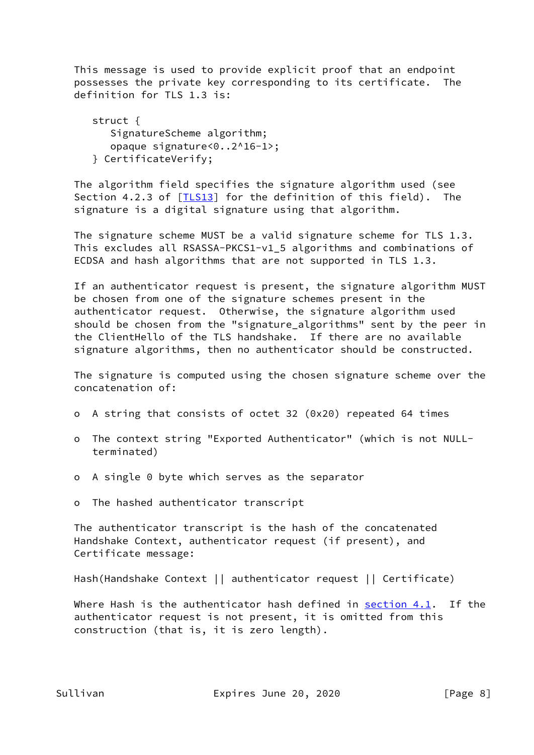This message is used to provide explicit proof that an endpoint possesses the private key corresponding to its certificate. The definition for TLS 1.3 is:

 struct { SignatureScheme algorithm; opaque signature<0..2^16-1>; } CertificateVerify;

 The algorithm field specifies the signature algorithm used (see Section 4.2.3 of [*TLS13*] for the definition of this field). The signature is a digital signature using that algorithm.

 The signature scheme MUST be a valid signature scheme for TLS 1.3. This excludes all RSASSA-PKCS1-v1\_5 algorithms and combinations of ECDSA and hash algorithms that are not supported in TLS 1.3.

 If an authenticator request is present, the signature algorithm MUST be chosen from one of the signature schemes present in the authenticator request. Otherwise, the signature algorithm used should be chosen from the "signature\_algorithms" sent by the peer in the ClientHello of the TLS handshake. If there are no available signature algorithms, then no authenticator should be constructed.

 The signature is computed using the chosen signature scheme over the concatenation of:

- o A string that consists of octet 32 (0x20) repeated 64 times
- o The context string "Exported Authenticator" (which is not NULL terminated)
- o A single 0 byte which serves as the separator
- o The hashed authenticator transcript

 The authenticator transcript is the hash of the concatenated Handshake Context, authenticator request (if present), and Certificate message:

Hash(Handshake Context || authenticator request || Certificate)

Where Hash is the authenticator hash defined in  $section 4.1$ . If the authenticator request is not present, it is omitted from this construction (that is, it is zero length).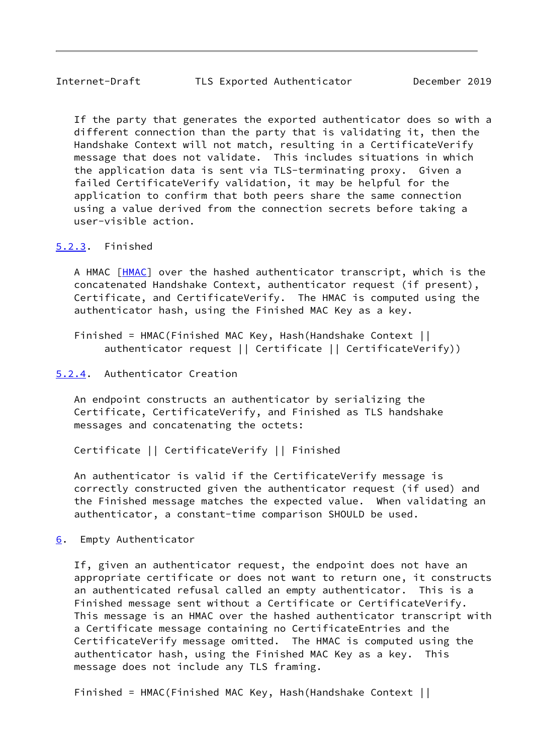<span id="page-9-1"></span> If the party that generates the exported authenticator does so with a different connection than the party that is validating it, then the Handshake Context will not match, resulting in a CertificateVerify message that does not validate. This includes situations in which the application data is sent via TLS-terminating proxy. Given a failed CertificateVerify validation, it may be helpful for the application to confirm that both peers share the same connection using a value derived from the connection secrets before taking a user-visible action.

#### <span id="page-9-0"></span>[5.2.3](#page-9-0). Finished

A HMAC [\[HMAC](#page-13-3)] over the hashed authenticator transcript, which is the concatenated Handshake Context, authenticator request (if present), Certificate, and CertificateVerify. The HMAC is computed using the authenticator hash, using the Finished MAC Key as a key.

 Finished = HMAC(Finished MAC Key, Hash(Handshake Context || authenticator request || Certificate || CertificateVerify))

#### <span id="page-9-2"></span>[5.2.4](#page-9-2). Authenticator Creation

 An endpoint constructs an authenticator by serializing the Certificate, CertificateVerify, and Finished as TLS handshake messages and concatenating the octets:

Certificate || CertificateVerify || Finished

 An authenticator is valid if the CertificateVerify message is correctly constructed given the authenticator request (if used) and the Finished message matches the expected value. When validating an authenticator, a constant-time comparison SHOULD be used.

<span id="page-9-3"></span>[6](#page-9-3). Empty Authenticator

 If, given an authenticator request, the endpoint does not have an appropriate certificate or does not want to return one, it constructs an authenticated refusal called an empty authenticator. This is a Finished message sent without a Certificate or CertificateVerify. This message is an HMAC over the hashed authenticator transcript with a Certificate message containing no CertificateEntries and the CertificateVerify message omitted. The HMAC is computed using the authenticator hash, using the Finished MAC Key as a key. This message does not include any TLS framing.

Finished = HMAC(Finished MAC Key, Hash(Handshake Context ||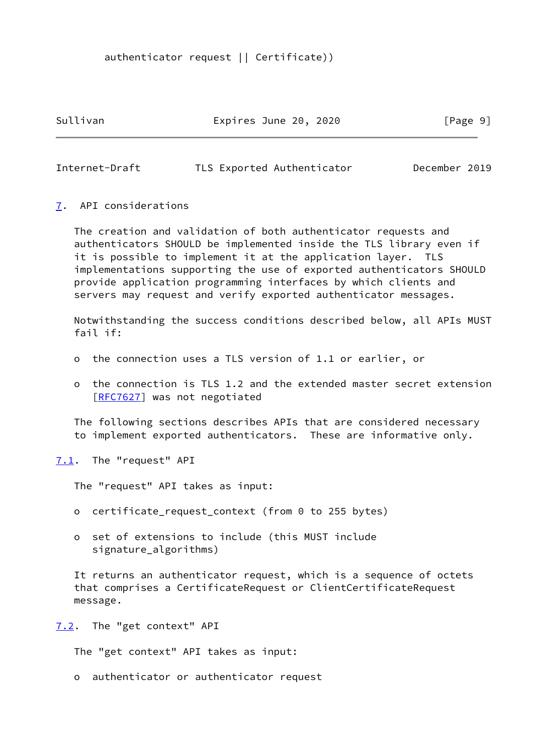authenticator request || Certificate))

Sullivan **Expires June 20, 2020** [Page 9]

<span id="page-10-1"></span>Internet-Draft TLS Exported Authenticator December 2019

#### <span id="page-10-0"></span>[7](#page-10-0). API considerations

 The creation and validation of both authenticator requests and authenticators SHOULD be implemented inside the TLS library even if it is possible to implement it at the application layer. TLS implementations supporting the use of exported authenticators SHOULD provide application programming interfaces by which clients and servers may request and verify exported authenticator messages.

 Notwithstanding the success conditions described below, all APIs MUST fail if:

- o the connection uses a TLS version of 1.1 or earlier, or
- o the connection is TLS 1.2 and the extended master secret extension [[RFC7627\]](https://datatracker.ietf.org/doc/pdf/rfc7627) was not negotiated

 The following sections describes APIs that are considered necessary to implement exported authenticators. These are informative only.

<span id="page-10-2"></span>[7.1](#page-10-2). The "request" API

The "request" API takes as input:

- o certificate\_request\_context (from 0 to 255 bytes)
- o set of extensions to include (this MUST include signature\_algorithms)

 It returns an authenticator request, which is a sequence of octets that comprises a CertificateRequest or ClientCertificateRequest message.

<span id="page-10-3"></span>[7.2](#page-10-3). The "get context" API

The "get context" API takes as input:

o authenticator or authenticator request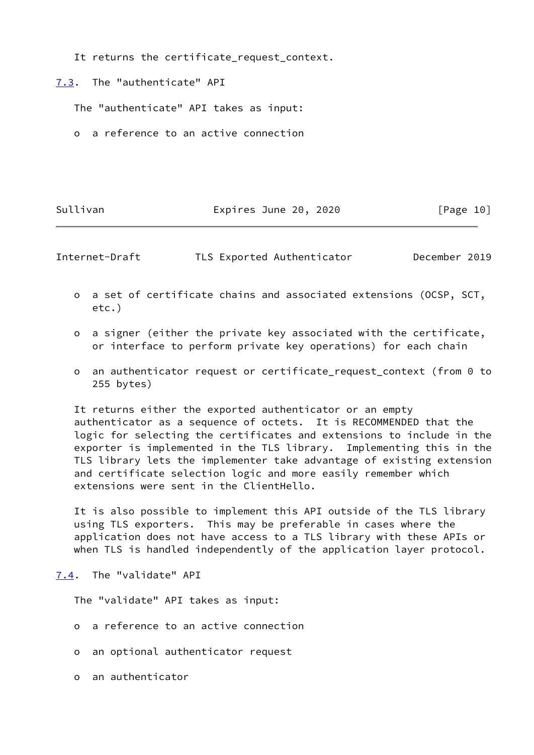It returns the certificate\_request\_context.

<span id="page-11-0"></span>[7.3](#page-11-0). The "authenticate" API

The "authenticate" API takes as input:

o a reference to an active connection

#### Sullivan **Expires June 20, 2020** [Page 10]

<span id="page-11-2"></span>Internet-Draft TLS Exported Authenticator December 2019

- o a set of certificate chains and associated extensions (OCSP, SCT, etc.)
- o a signer (either the private key associated with the certificate, or interface to perform private key operations) for each chain
- o an authenticator request or certificate\_request\_context (from 0 to 255 bytes)

 It returns either the exported authenticator or an empty authenticator as a sequence of octets. It is RECOMMENDED that the logic for selecting the certificates and extensions to include in the exporter is implemented in the TLS library. Implementing this in the TLS library lets the implementer take advantage of existing extension and certificate selection logic and more easily remember which extensions were sent in the ClientHello.

 It is also possible to implement this API outside of the TLS library using TLS exporters. This may be preferable in cases where the application does not have access to a TLS library with these APIs or when TLS is handled independently of the application layer protocol.

<span id="page-11-1"></span>[7.4](#page-11-1). The "validate" API

The "validate" API takes as input:

- o a reference to an active connection
- o an optional authenticator request
- o an authenticator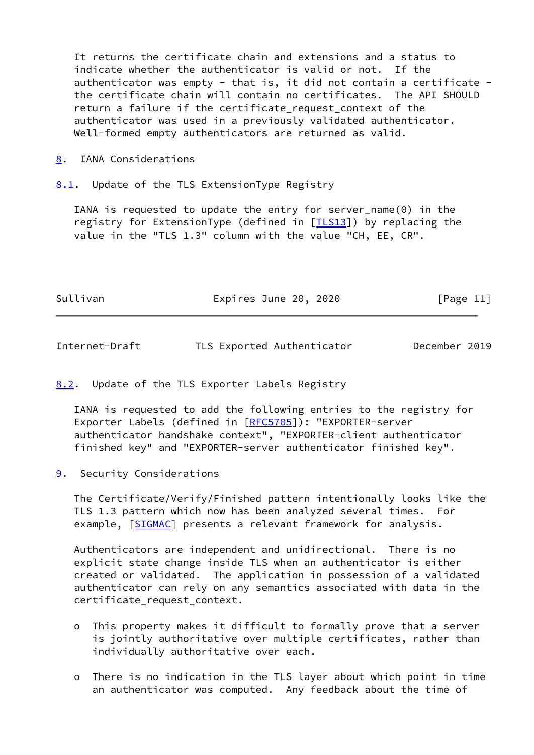It returns the certificate chain and extensions and a status to indicate whether the authenticator is valid or not. If the authenticator was empty - that is, it did not contain a certificate the certificate chain will contain no certificates. The API SHOULD return a failure if the certificate request context of the authenticator was used in a previously validated authenticator. Well-formed empty authenticators are returned as valid.

- <span id="page-12-0"></span>[8](#page-12-0). IANA Considerations
- <span id="page-12-1"></span>[8.1](#page-12-1). Update of the TLS ExtensionType Registry

 IANA is requested to update the entry for server\_name(0) in the registry for ExtensionType (defined in [*ILS13*]) by replacing the value in the "TLS 1.3" column with the value "CH, EE, CR".

| Sullivan | Expires June 20, 2020 | [Page 11] |
|----------|-----------------------|-----------|
|----------|-----------------------|-----------|

<span id="page-12-3"></span>

| Internet-Draft |  | TLS Exported Authenticator | December 2019 |  |
|----------------|--|----------------------------|---------------|--|
|                |  |                            |               |  |

<span id="page-12-2"></span>[8.2](#page-12-2). Update of the TLS Exporter Labels Registry

 IANA is requested to add the following entries to the registry for Exporter Labels (defined in [\[RFC5705](https://datatracker.ietf.org/doc/pdf/rfc5705)]): "EXPORTER-server authenticator handshake context", "EXPORTER-client authenticator finished key" and "EXPORTER-server authenticator finished key".

<span id="page-12-4"></span>[9](#page-12-4). Security Considerations

 The Certificate/Verify/Finished pattern intentionally looks like the TLS 1.3 pattern which now has been analyzed several times. For example, [\[SIGMAC](#page-14-3)] presents a relevant framework for analysis.

 Authenticators are independent and unidirectional. There is no explicit state change inside TLS when an authenticator is either created or validated. The application in possession of a validated authenticator can rely on any semantics associated with data in the certificate\_request\_context.

- o This property makes it difficult to formally prove that a server is jointly authoritative over multiple certificates, rather than individually authoritative over each.
- o There is no indication in the TLS layer about which point in time an authenticator was computed. Any feedback about the time of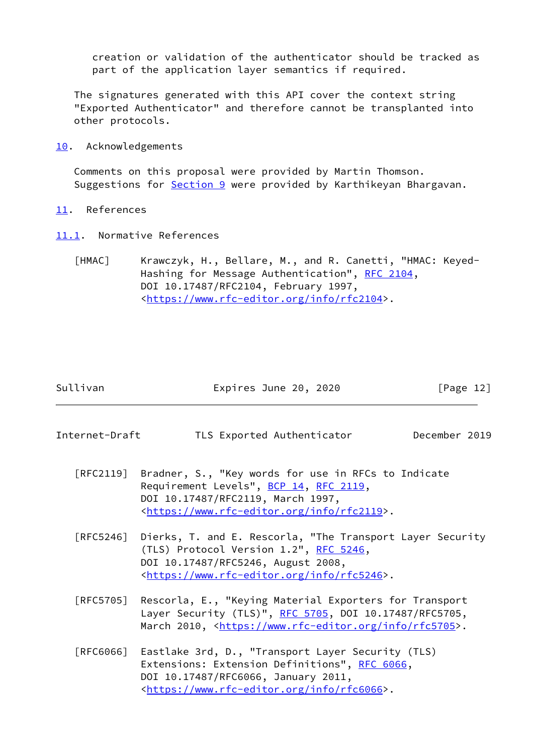creation or validation of the authenticator should be tracked as part of the application layer semantics if required.

 The signatures generated with this API cover the context string "Exported Authenticator" and therefore cannot be transplanted into other protocols.

<span id="page-13-0"></span>[10.](#page-13-0) Acknowledgements

 Comments on this proposal were provided by Martin Thomson. Suggestions for **Section 9** were provided by Karthikeyan Bhargavan.

- <span id="page-13-1"></span>[11.](#page-13-1) References
- <span id="page-13-3"></span><span id="page-13-2"></span>[11.1](#page-13-2). Normative References
	- [HMAC] Krawczyk, H., Bellare, M., and R. Canetti, "HMAC: Keyed- Hashing for Message Authentication", [RFC 2104](https://datatracker.ietf.org/doc/pdf/rfc2104), DOI 10.17487/RFC2104, February 1997, <[https://www.rfc-editor.org/info/rfc2104>](https://www.rfc-editor.org/info/rfc2104).

|  | Sullivan |  |
|--|----------|--|
|  |          |  |

Expires June 20, 2020  $[Page 12]$ 

- Internet-Draft TLS Exported Authenticator December 2019
	- [RFC2119] Bradner, S., "Key words for use in RFCs to Indicate Requirement Levels", [BCP 14](https://datatracker.ietf.org/doc/pdf/bcp14), [RFC 2119](https://datatracker.ietf.org/doc/pdf/rfc2119), DOI 10.17487/RFC2119, March 1997, <[https://www.rfc-editor.org/info/rfc2119>](https://www.rfc-editor.org/info/rfc2119).
	- [RFC5246] Dierks, T. and E. Rescorla, "The Transport Layer Security (TLS) Protocol Version 1.2", [RFC 5246](https://datatracker.ietf.org/doc/pdf/rfc5246), DOI 10.17487/RFC5246, August 2008, <[https://www.rfc-editor.org/info/rfc5246>](https://www.rfc-editor.org/info/rfc5246).
	- [RFC5705] Rescorla, E., "Keying Material Exporters for Transport Layer Security (TLS)", [RFC 5705](https://datatracker.ietf.org/doc/pdf/rfc5705), DOI 10.17487/RFC5705, March 2010, [<https://www.rfc-editor.org/info/rfc5705](https://www.rfc-editor.org/info/rfc5705)>.
	- [RFC6066] Eastlake 3rd, D., "Transport Layer Security (TLS) Extensions: Extension Definitions", [RFC 6066,](https://datatracker.ietf.org/doc/pdf/rfc6066) DOI 10.17487/RFC6066, January 2011, <[https://www.rfc-editor.org/info/rfc6066>](https://www.rfc-editor.org/info/rfc6066).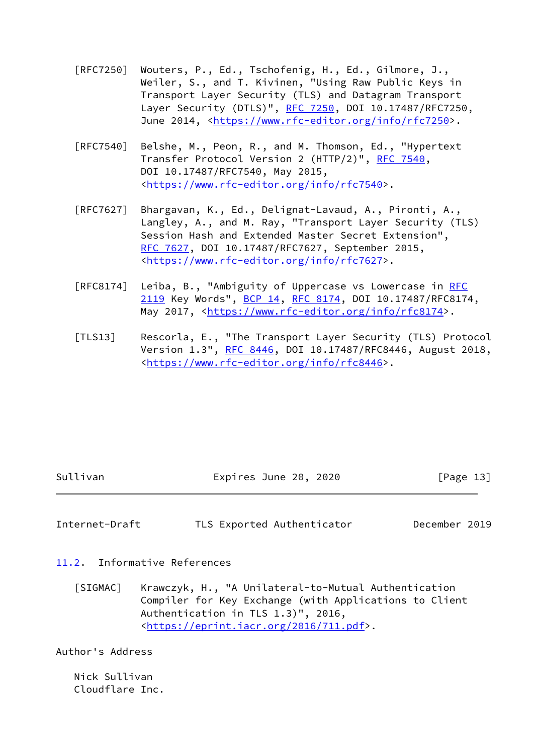- [RFC7250] Wouters, P., Ed., Tschofenig, H., Ed., Gilmore, J., Weiler, S., and T. Kivinen, "Using Raw Public Keys in Transport Layer Security (TLS) and Datagram Transport Layer Security (DTLS)", [RFC 7250,](https://datatracker.ietf.org/doc/pdf/rfc7250) DOI 10.17487/RFC7250, June 2014, <<https://www.rfc-editor.org/info/rfc7250>>.
- [RFC7540] Belshe, M., Peon, R., and M. Thomson, Ed., "Hypertext Transfer Protocol Version 2 (HTTP/2)", [RFC 7540](https://datatracker.ietf.org/doc/pdf/rfc7540), DOI 10.17487/RFC7540, May 2015, <[https://www.rfc-editor.org/info/rfc7540>](https://www.rfc-editor.org/info/rfc7540).
- [RFC7627] Bhargavan, K., Ed., Delignat-Lavaud, A., Pironti, A., Langley, A., and M. Ray, "Transport Layer Security (TLS) Session Hash and Extended Master Secret Extension", [RFC 7627,](https://datatracker.ietf.org/doc/pdf/rfc7627) DOI 10.17487/RFC7627, September 2015, <[https://www.rfc-editor.org/info/rfc7627>](https://www.rfc-editor.org/info/rfc7627).
- [RFC8174] Leiba, B., "Ambiguity of Uppercase vs Lowercase in [RFC](https://datatracker.ietf.org/doc/pdf/rfc2119) [2119](https://datatracker.ietf.org/doc/pdf/rfc2119) Key Words", [BCP 14](https://datatracker.ietf.org/doc/pdf/bcp14), [RFC 8174,](https://datatracker.ietf.org/doc/pdf/rfc8174) DOI 10.17487/RFC8174, May 2017, [<https://www.rfc-editor.org/info/rfc8174](https://www.rfc-editor.org/info/rfc8174)>.
- <span id="page-14-2"></span> [TLS13] Rescorla, E., "The Transport Layer Security (TLS) Protocol Version 1.3", [RFC 8446](https://datatracker.ietf.org/doc/pdf/rfc8446), DOI 10.17487/RFC8446, August 2018, <[https://www.rfc-editor.org/info/rfc8446>](https://www.rfc-editor.org/info/rfc8446).

|  | Sullivan |  |
|--|----------|--|

Expires June 20, 2020  $[Page 13]$ 

<span id="page-14-1"></span>Internet-Draft TLS Exported Authenticator December 2019

<span id="page-14-0"></span>[11.2](#page-14-0). Informative References

<span id="page-14-3"></span> [SIGMAC] Krawczyk, H., "A Unilateral-to-Mutual Authentication Compiler for Key Exchange (with Applications to Client Authentication in TLS 1.3)", 2016, <[https://eprint.iacr.org/2016/711.pdf>](https://eprint.iacr.org/2016/711.pdf).

Author's Address

 Nick Sullivan Cloudflare Inc.